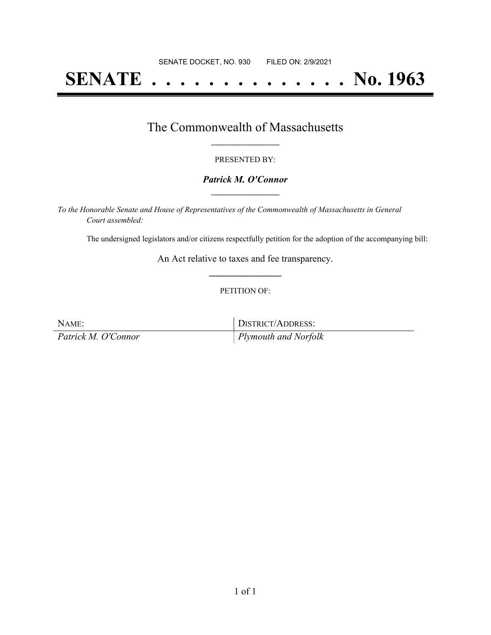# **SENATE . . . . . . . . . . . . . . No. 1963**

### The Commonwealth of Massachusetts **\_\_\_\_\_\_\_\_\_\_\_\_\_\_\_\_\_**

#### PRESENTED BY:

#### *Patrick M. O'Connor* **\_\_\_\_\_\_\_\_\_\_\_\_\_\_\_\_\_**

*To the Honorable Senate and House of Representatives of the Commonwealth of Massachusetts in General Court assembled:*

The undersigned legislators and/or citizens respectfully petition for the adoption of the accompanying bill:

An Act relative to taxes and fee transparency. **\_\_\_\_\_\_\_\_\_\_\_\_\_\_\_**

#### PETITION OF:

| NAME:               | DISTRICT/ADDRESS:            |
|---------------------|------------------------------|
| Patrick M. O'Connor | $\vert$ Plymouth and Norfolk |